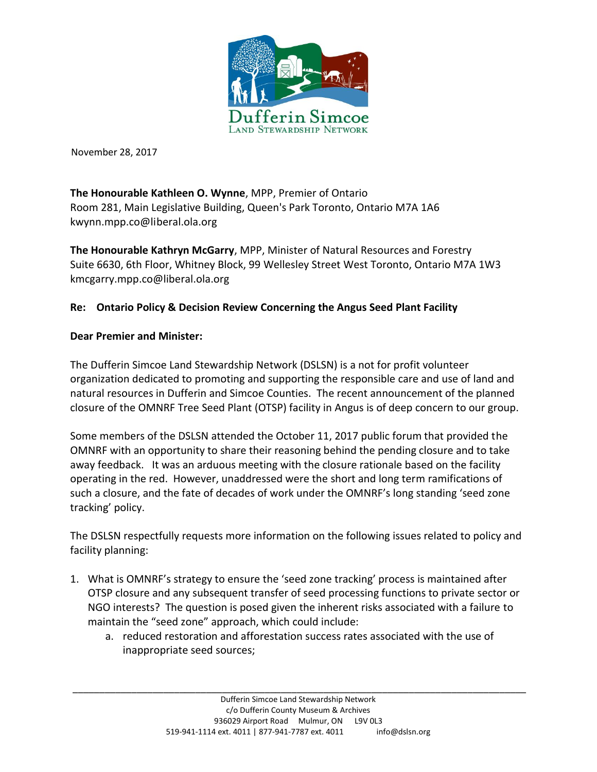

November 28, 2017

**The Honourable Kathleen O. Wynne**, MPP, Premier of Ontario Room 281, Main Legislative Building, Queen's Park Toronto, Ontario M7A 1A6 [kwynn.mpp.co@liberal.ola.org](mailto:kwynn.mpp.co@liberal.ola.org)

**The Honourable Kathryn McGarry**, MPP, Minister of Natural Resources and Forestry Suite 6630, 6th Floor, Whitney Block, 99 Wellesley Street West Toronto, Ontario M7A 1W3 kmcgarry.mpp.co@liberal.ola.org

## **Re: Ontario Policy & Decision Review Concerning the Angus Seed Plant Facility**

## **Dear Premier and Minister:**

The Dufferin Simcoe Land Stewardship Network (DSLSN) is a not for profit volunteer organization dedicated to promoting and supporting the responsible care and use of land and natural resources in Dufferin and Simcoe Counties. The recent announcement of the planned closure of the OMNRF Tree Seed Plant (OTSP) facility in Angus is of deep concern to our group.

Some members of the DSLSN attended the October 11, 2017 public forum that provided the OMNRF with an opportunity to share their reasoning behind the pending closure and to take away feedback. It was an arduous meeting with the closure rationale based on the facility operating in the red. However, unaddressed were the short and long term ramifications of such a closure, and the fate of decades of work under the OMNRF's long standing 'seed zone tracking' policy.

The DSLSN respectfully requests more information on the following issues related to policy and facility planning:

- 1. What is OMNRF's strategy to ensure the 'seed zone tracking' process is maintained after OTSP closure and any subsequent transfer of seed processing functions to private sector or NGO interests? The question is posed given the inherent risks associated with a failure to maintain the "seed zone" approach, which could include:
	- a. reduced restoration and afforestation success rates associated with the use of inappropriate seed sources;